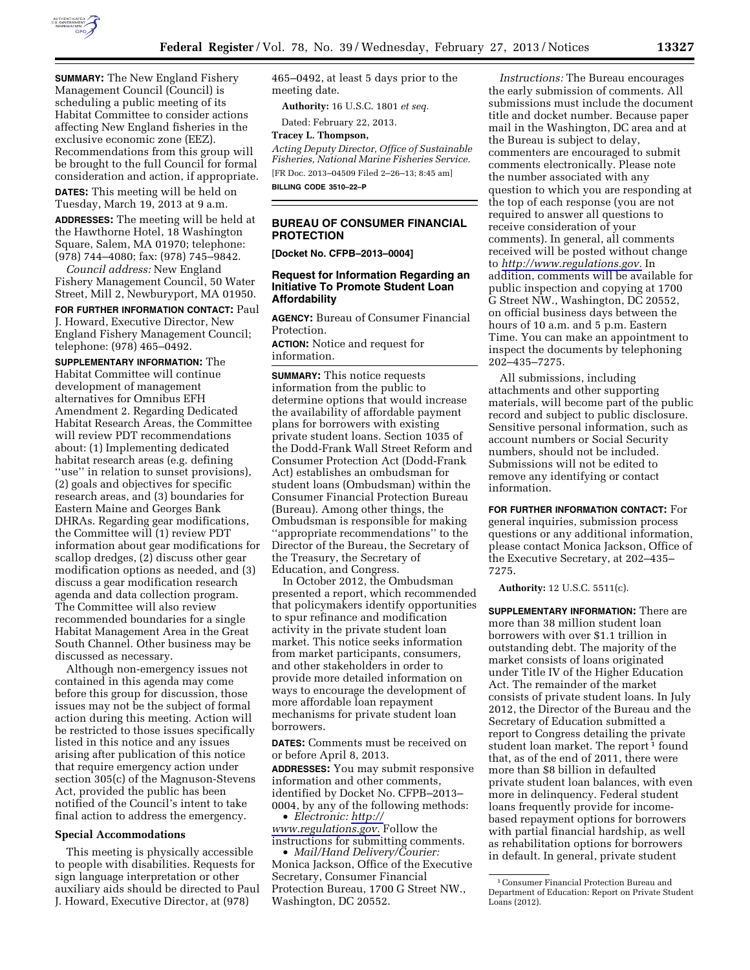

**SUMMARY:** The New England Fishery Management Council (Council) is scheduling a public meeting of its Habitat Committee to consider actions affecting New England fisheries in the exclusive economic zone (EEZ). Recommendations from this group will be brought to the full Council for formal consideration and action, if appropriate.

**DATES:** This meeting will be held on Tuesday, March 19, 2013 at 9 a.m.

**ADDRESSES:** The meeting will be held at the Hawthorne Hotel, 18 Washington Square, Salem, MA 01970; telephone: (978) 744–4080; fax: (978) 745–9842.

*Council address:* New England Fishery Management Council, 50 Water Street, Mill 2, Newburyport, MA 01950.

# **FOR FURTHER INFORMATION CONTACT:** Paul

J. Howard, Executive Director, New England Fishery Management Council; telephone: (978) 465–0492.

**SUPPLEMENTARY INFORMATION:** The Habitat Committee will continue development of management alternatives for Omnibus EFH Amendment 2. Regarding Dedicated Habitat Research Areas, the Committee will review PDT recommendations about: (1) Implementing dedicated habitat research areas (e.g. defining "use" in relation to sunset provisions), (2) goals and objectives for specific research areas, and (3) boundaries for Eastern Maine and Georges Bank DHRAs. Regarding gear modifications, the Committee will (1) review PDT information about gear modifications for scallop dredges, (2) discuss other gear modification options as needed, and (3) discuss a gear modification research agenda and data collection program. The Committee will also review recommended boundaries for a single Habitat Management Area in the Great South Channel. Other business may be discussed as necessary.

Although non-emergency issues not contained in this agenda may come before this group for discussion, those issues may not be the subject of formal action during this meeting. Action will be restricted to those issues specifically listed in this notice and any issues arising after publication of this notice that require emergency action under section 305(c) of the Magnuson-Stevens Act, provided the public has been notified of the Council's intent to take final action to address the emergency.

#### **Special Accommodations**

This meeting is physically accessible to people with disabilities. Requests for sign language interpretation or other auxiliary aids should be directed to Paul J. Howard, Executive Director, at (978)

465–0492, at least 5 days prior to the meeting date.

**Authority:** 16 U.S.C. 1801 *et seq.* 

Dated: February 22, 2013.

**Tracey L. Thompson,** 

*Acting Deputy Director, Office of Sustainable Fisheries, National Marine Fisheries Service.*  [FR Doc. 2013–04509 Filed 2–26–13; 8:45 am] **BILLING CODE 3510–22–P** 

## **BUREAU OF CONSUMER FINANCIAL PROTECTION**

**[Docket No. CFPB–2013–0004]** 

## **Request for Information Regarding an Initiative To Promote Student Loan Affordability**

**AGENCY:** Bureau of Consumer Financial Protection.

**ACTION:** Notice and request for information.

**SUMMARY:** This notice requests information from the public to determine options that would increase the availability of affordable payment plans for borrowers with existing private student loans. Section 1035 of the Dodd-Frank Wall Street Reform and Consumer Protection Act (Dodd-Frank Act) establishes an ombudsman for student loans (Ombudsman) within the Consumer Financial Protection Bureau (Bureau). Among other things, the Ombudsman is responsible for making ''appropriate recommendations'' to the Director of the Bureau, the Secretary of the Treasury, the Secretary of Education, and Congress.

In October 2012, the Ombudsman presented a report, which recommended that policymakers identify opportunities to spur refinance and modification activity in the private student loan market. This notice seeks information from market participants, consumers, and other stakeholders in order to provide more detailed information on ways to encourage the development of more affordable loan repayment mechanisms for private student loan borrowers.

**DATES:** Comments must be received on or before April 8, 2013.

**ADDRESSES:** You may submit responsive information and other comments, identified by Docket No. CFPB–2013– 0004, by any of the following methods: • *Electronic: [http://](http://www.regulations.gov)* 

*[www.regulations.gov.](http://www.regulations.gov)* Follow the instructions for submitting comments.

• *Mail/Hand Delivery/Courier:*  Monica Jackson, Office of the Executive Secretary, Consumer Financial Protection Bureau, 1700 G Street NW., Washington, DC 20552.

*Instructions:* The Bureau encourages the early submission of comments. All submissions must include the document title and docket number. Because paper mail in the Washington, DC area and at the Bureau is subject to delay, commenters are encouraged to submit comments electronically. Please note the number associated with any question to which you are responding at the top of each response (you are not required to answer all questions to receive consideration of your comments). In general, all comments received will be posted without change to *[http://www.regulations.gov.](http://www.regulations.gov)* In addition, comments will be available for public inspection and copying at 1700 G Street NW., Washington, DC 20552, on official business days between the hours of 10 a.m. and 5 p.m. Eastern Time. You can make an appointment to inspect the documents by telephoning 202–435–7275.

All submissions, including attachments and other supporting materials, will become part of the public record and subject to public disclosure. Sensitive personal information, such as account numbers or Social Security numbers, should not be included. Submissions will not be edited to remove any identifying or contact information.

**FOR FURTHER INFORMATION CONTACT:** For general inquiries, submission process questions or any additional information, please contact Monica Jackson, Office of the Executive Secretary, at 202–435– 7275.

**Authority:** 12 U.S.C. 5511(c).

**SUPPLEMENTARY INFORMATION:** There are more than 38 million student loan borrowers with over \$1.1 trillion in outstanding debt. The majority of the market consists of loans originated under Title IV of the Higher Education Act. The remainder of the market consists of private student loans. In July 2012, the Director of the Bureau and the Secretary of Education submitted a report to Congress detailing the private student loan market. The report<sup>1</sup> found that, as of the end of 2011, there were more than \$8 billion in defaulted private student loan balances, with even more in delinquency. Federal student loans frequently provide for incomebased repayment options for borrowers with partial financial hardship, as well as rehabilitation options for borrowers in default. In general, private student

<sup>1</sup>Consumer Financial Protection Bureau and Department of Education: Report on Private Student Loans (2012).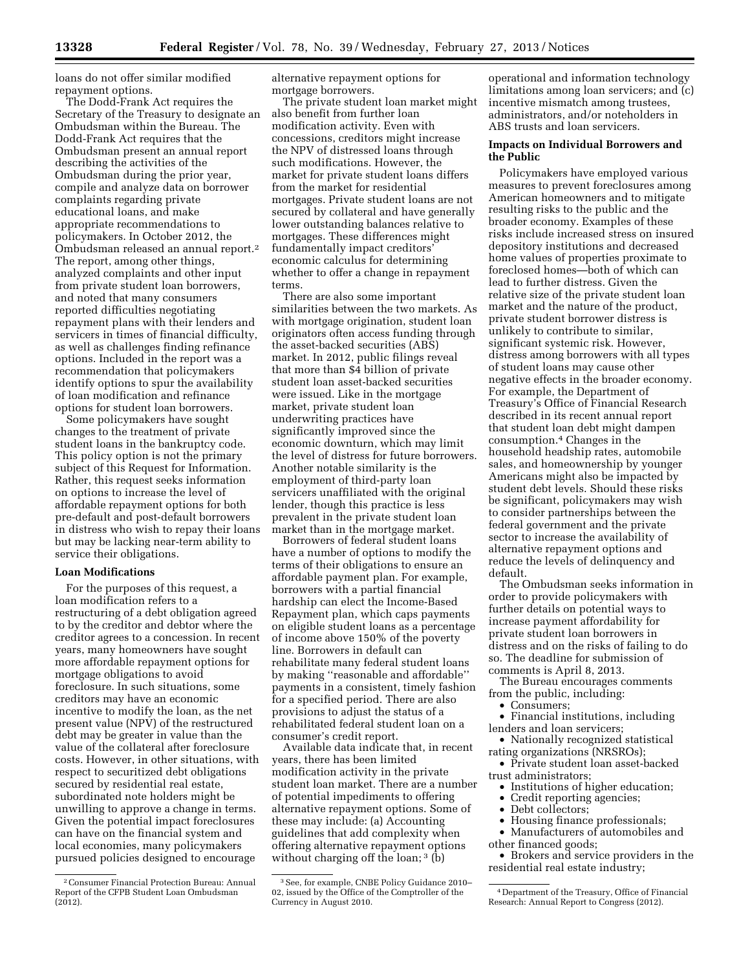loans do not offer similar modified repayment options.

The Dodd-Frank Act requires the Secretary of the Treasury to designate an Ombudsman within the Bureau. The Dodd-Frank Act requires that the Ombudsman present an annual report describing the activities of the Ombudsman during the prior year, compile and analyze data on borrower complaints regarding private educational loans, and make appropriate recommendations to policymakers. In October 2012, the Ombudsman released an annual report.2 The report, among other things, analyzed complaints and other input from private student loan borrowers, and noted that many consumers reported difficulties negotiating repayment plans with their lenders and servicers in times of financial difficulty, as well as challenges finding refinance options. Included in the report was a recommendation that policymakers identify options to spur the availability of loan modification and refinance options for student loan borrowers.

Some policymakers have sought changes to the treatment of private student loans in the bankruptcy code. This policy option is not the primary subject of this Request for Information. Rather, this request seeks information on options to increase the level of affordable repayment options for both pre-default and post-default borrowers in distress who wish to repay their loans but may be lacking near-term ability to service their obligations.

#### **Loan Modifications**

For the purposes of this request, a loan modification refers to a restructuring of a debt obligation agreed to by the creditor and debtor where the creditor agrees to a concession. In recent years, many homeowners have sought more affordable repayment options for mortgage obligations to avoid foreclosure. In such situations, some creditors may have an economic incentive to modify the loan, as the net present value (NPV) of the restructured debt may be greater in value than the value of the collateral after foreclosure costs. However, in other situations, with respect to securitized debt obligations secured by residential real estate, subordinated note holders might be unwilling to approve a change in terms. Given the potential impact foreclosures can have on the financial system and local economies, many policymakers pursued policies designed to encourage

alternative repayment options for mortgage borrowers.

The private student loan market might also benefit from further loan modification activity. Even with concessions, creditors might increase the NPV of distressed loans through such modifications. However, the market for private student loans differs from the market for residential mortgages. Private student loans are not secured by collateral and have generally lower outstanding balances relative to mortgages. These differences might fundamentally impact creditors' economic calculus for determining whether to offer a change in repayment terms.

There are also some important similarities between the two markets. As with mortgage origination, student loan originators often access funding through the asset-backed securities (ABS) market. In 2012, public filings reveal that more than \$4 billion of private student loan asset-backed securities were issued. Like in the mortgage market, private student loan underwriting practices have significantly improved since the economic downturn, which may limit the level of distress for future borrowers. Another notable similarity is the employment of third-party loan servicers unaffiliated with the original lender, though this practice is less prevalent in the private student loan market than in the mortgage market.

Borrowers of federal student loans have a number of options to modify the terms of their obligations to ensure an affordable payment plan. For example, borrowers with a partial financial hardship can elect the Income-Based Repayment plan, which caps payments on eligible student loans as a percentage of income above 150% of the poverty line. Borrowers in default can rehabilitate many federal student loans by making ''reasonable and affordable'' payments in a consistent, timely fashion for a specified period. There are also provisions to adjust the status of a rehabilitated federal student loan on a consumer's credit report.

Available data indicate that, in recent years, there has been limited modification activity in the private student loan market. There are a number of potential impediments to offering alternative repayment options. Some of these may include: (a) Accounting guidelines that add complexity when offering alternative repayment options without charging off the loan; <sup>3</sup> (b)

operational and information technology limitations among loan servicers; and (c) incentive mismatch among trustees, administrators, and/or noteholders in ABS trusts and loan servicers.

### **Impacts on Individual Borrowers and the Public**

Policymakers have employed various measures to prevent foreclosures among American homeowners and to mitigate resulting risks to the public and the broader economy. Examples of these risks include increased stress on insured depository institutions and decreased home values of properties proximate to foreclosed homes—both of which can lead to further distress. Given the relative size of the private student loan market and the nature of the product, private student borrower distress is unlikely to contribute to similar, significant systemic risk. However, distress among borrowers with all types of student loans may cause other negative effects in the broader economy. For example, the Department of Treasury's Office of Financial Research described in its recent annual report that student loan debt might dampen consumption.4 Changes in the household headship rates, automobile sales, and homeownership by younger Americans might also be impacted by student debt levels. Should these risks be significant, policymakers may wish to consider partnerships between the federal government and the private sector to increase the availability of alternative repayment options and reduce the levels of delinquency and default.

The Ombudsman seeks information in order to provide policymakers with further details on potential ways to increase payment affordability for private student loan borrowers in distress and on the risks of failing to do so. The deadline for submission of comments is April 8, 2013.

The Bureau encourages comments from the public, including:

- Consumers;
- Financial institutions, including lenders and loan servicers;
- Nationally recognized statistical rating organizations (NRSROs);
- Private student loan asset-backed trust administrators;
	- Institutions of higher education;
	- Credit reporting agencies;
- Debt collectors;<br>• Housing finance
- Housing finance professionals;

• Manufacturers of automobiles and other financed goods;

• Brokers and service providers in the residential real estate industry;

<sup>2</sup>Consumer Financial Protection Bureau: Annual Report of the CFPB Student Loan Ombudsman  $(2012)$ .

<sup>3</sup>See, for example, CNBE Policy Guidance 2010– 02, issued by the Office of the Comptroller of the Currency in August 2010.

<sup>4</sup> Department of the Treasury, Office of Financial Research: Annual Report to Congress (2012).